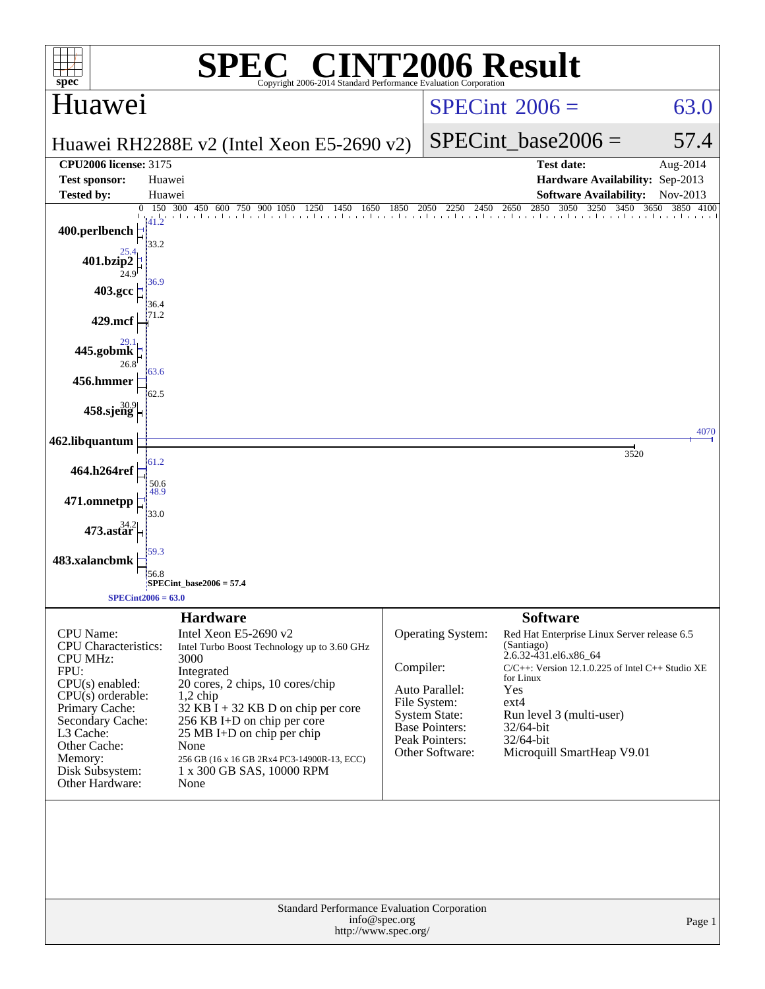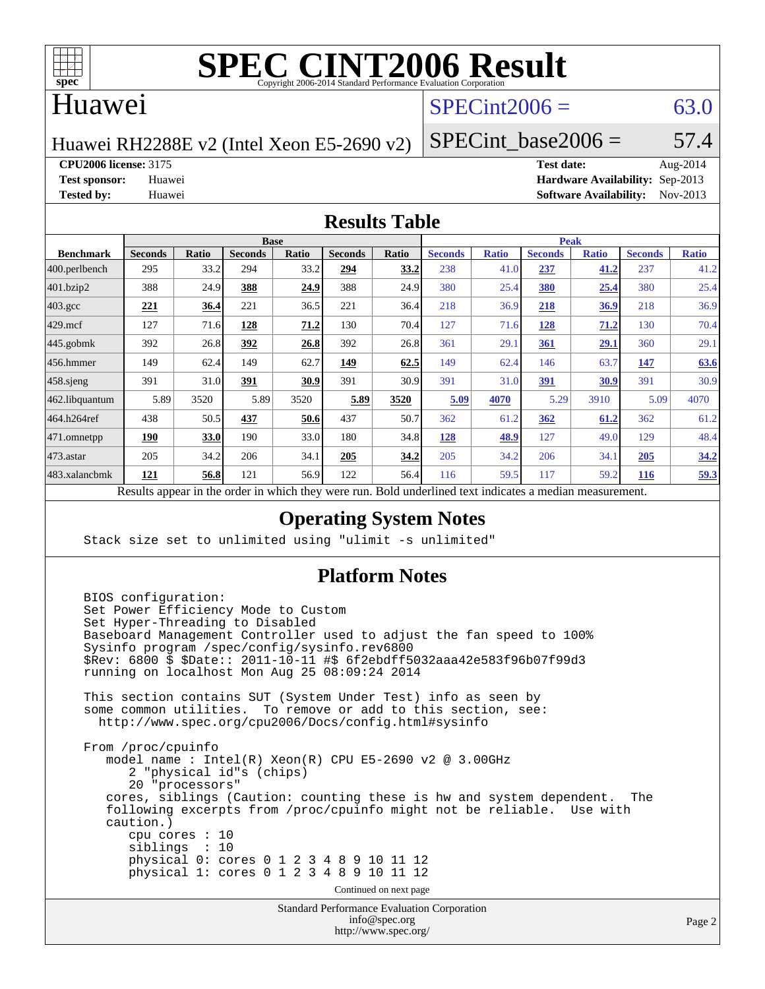

# **[SPEC CINT2006 Result](http://www.spec.org/auto/cpu2006/Docs/result-fields.html#SPECCINT2006Result)**

## Huawei

# $SPECint2006 = 63.0$  $SPECint2006 = 63.0$

Huawei RH2288E v2 (Intel Xeon E5-2690 v2)

SPECint base2006 =  $57.4$ 

**[CPU2006 license:](http://www.spec.org/auto/cpu2006/Docs/result-fields.html#CPU2006license)** 3175 **[Test date:](http://www.spec.org/auto/cpu2006/Docs/result-fields.html#Testdate)** Aug-2014

**[Test sponsor:](http://www.spec.org/auto/cpu2006/Docs/result-fields.html#Testsponsor)** Huawei **[Hardware Availability:](http://www.spec.org/auto/cpu2006/Docs/result-fields.html#HardwareAvailability)** Sep-2013 **[Tested by:](http://www.spec.org/auto/cpu2006/Docs/result-fields.html#Testedby)** Huawei **[Software Availability:](http://www.spec.org/auto/cpu2006/Docs/result-fields.html#SoftwareAvailability)** Nov-2013

#### **[Results Table](http://www.spec.org/auto/cpu2006/Docs/result-fields.html#ResultsTable)**

|                                                                                                                                         | <b>Base</b>    |       |                |              |                |              |                | <b>Peak</b>  |                |              |                |              |  |
|-----------------------------------------------------------------------------------------------------------------------------------------|----------------|-------|----------------|--------------|----------------|--------------|----------------|--------------|----------------|--------------|----------------|--------------|--|
| <b>Benchmark</b>                                                                                                                        | <b>Seconds</b> | Ratio | <b>Seconds</b> | <b>Ratio</b> | <b>Seconds</b> | <b>Ratio</b> | <b>Seconds</b> | <b>Ratio</b> | <b>Seconds</b> | <b>Ratio</b> | <b>Seconds</b> | <b>Ratio</b> |  |
| $ 400$ .perlbench                                                                                                                       | 295            | 33.2  | 294            | 33.2         | 294            | 33.2         | 238            | 41.0         | 237            | 41.2         | 237            | 41.2         |  |
| 401.bzip2                                                                                                                               | 388            | 24.9  | 388            | 24.9         | 388            | 24.9         | 380            | 25.4         | 380            | 25.4         | 380            | 25.4         |  |
| $403.\mathrm{gcc}$                                                                                                                      | 221            | 36.4  | 221            | 36.5         | 221            | 36.4         | 218            | 36.9         | 218            | 36.9         | 218            | 36.9         |  |
| $429$ .mcf                                                                                                                              | 127            | 71.6  | 128            | 71.2         | 130            | 70.4         | 127            | 71.6         | <u>128</u>     | 71.2         | 130            | 70.4         |  |
| $445$ .gobmk                                                                                                                            | 392            | 26.8  | 392            | 26.8         | 392            | 26.8         | 361            | 29.1         | 361            | <u>29.1</u>  | 360            | 29.1         |  |
| $456.$ hmmer                                                                                                                            | 149            | 62.4  | 149            | 62.7         | 149            | 62.5         | 149            | 62.4         | 146            | 63.7         | 147            | 63.6         |  |
| $458$ .sjeng                                                                                                                            | 391            | 31.0  | 391            | 30.9         | 391            | 30.9         | 391            | 31.0         | <u>391</u>     | 30.9         | 391            | 30.9         |  |
| 462.libquantum                                                                                                                          | 5.89           | 3520  | 5.89           | 3520         | 5.89           | 3520         | 5.09           | 4070         | 5.29           | 3910         | 5.09           | 4070         |  |
| 464.h264ref                                                                                                                             | 438            | 50.5  | 437            | 50.6         | 437            | 50.7         | 362            | 61.2         | 362            | 61.2         | 362            | 61.2         |  |
| 471.omnetpp                                                                                                                             | 190            | 33.0  | 190            | 33.0         | 180            | 34.8         | 128            | 48.9         | 127            | 49.0         | 129            | 48.4         |  |
| $473.$ astar                                                                                                                            | 205            | 34.2  | 206            | 34.1         | 205            | 34.2         | 205            | 34.2         | 206            | 34.1         | 205            | 34.2         |  |
| 483.xalancbmk                                                                                                                           | 121            | 56.8  | 121            | 56.9         | 122            | 56.4         | 116            | 59.5         | 117            | 59.2         | <b>116</b>     | 59.3         |  |
| $D = 140$<br>وبريس ومرورين وبرواله والرائدانين وبالمروان والمراوية والهارون<br>Die 14 von deutling die eerste in die seks van meerdiger |                |       |                |              |                |              |                |              |                |              |                |              |  |

Results appear in the [order in which they were run.](http://www.spec.org/auto/cpu2006/Docs/result-fields.html#RunOrder) Bold underlined text [indicates a median measurement.](http://www.spec.org/auto/cpu2006/Docs/result-fields.html#Median)

### **[Operating System Notes](http://www.spec.org/auto/cpu2006/Docs/result-fields.html#OperatingSystemNotes)**

Stack size set to unlimited using "ulimit -s unlimited"

### **[Platform Notes](http://www.spec.org/auto/cpu2006/Docs/result-fields.html#PlatformNotes)**

 BIOS configuration: Set Power Efficiency Mode to Custom Set Hyper-Threading to Disabled Baseboard Management Controller used to adjust the fan speed to 100% Sysinfo program /spec/config/sysinfo.rev6800 \$Rev: 6800 \$ \$Date:: 2011-10-11 #\$ 6f2ebdff5032aaa42e583f96b07f99d3 running on localhost Mon Aug 25 08:09:24 2014 This section contains SUT (System Under Test) info as seen by some common utilities. To remove or add to this section, see: <http://www.spec.org/cpu2006/Docs/config.html#sysinfo> From /proc/cpuinfo model name : Intel(R) Xeon(R) CPU E5-2690 v2 @ 3.00GHz 2 "physical id"s (chips) 20 "processors" cores, siblings (Caution: counting these is hw and system dependent. The following excerpts from /proc/cpuinfo might not be reliable. Use with caution.) cpu cores : 10 siblings : 10 physical 0: cores 0 1 2 3 4 8 9 10 11 12 physical 1: cores 0 1 2 3 4 8 9 10 11 12 Continued on next page

Standard Performance Evaluation Corporation [info@spec.org](mailto:info@spec.org) <http://www.spec.org/>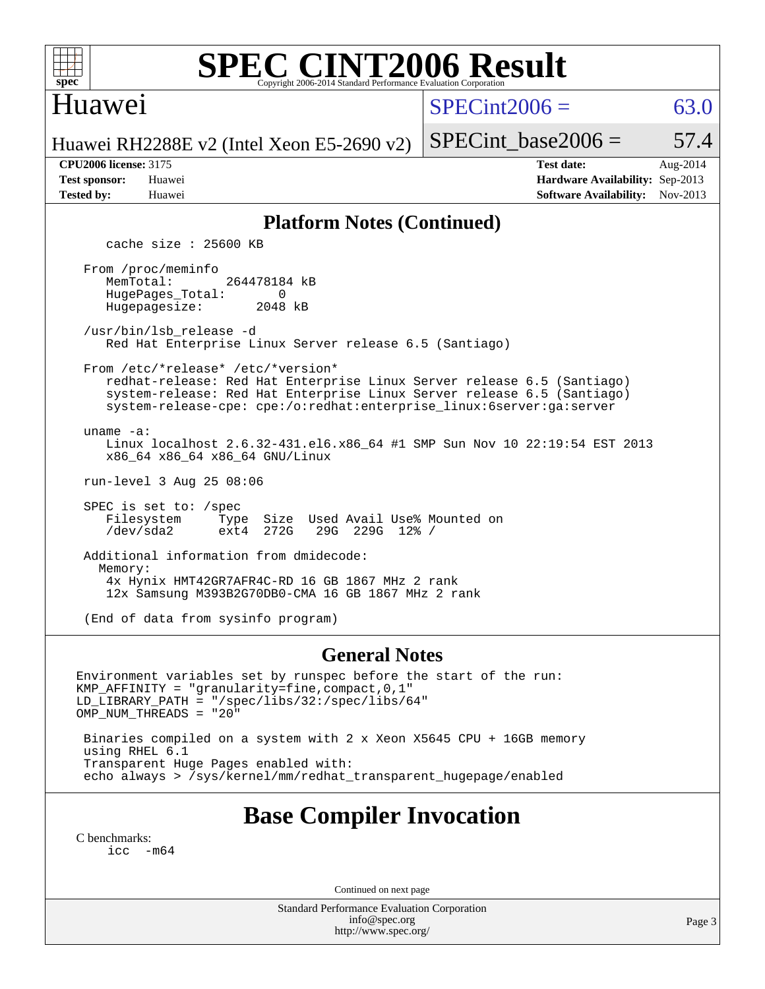

# **[SPEC CINT2006 Result](http://www.spec.org/auto/cpu2006/Docs/result-fields.html#SPECCINT2006Result)**

## Huawei

 $SPECint2006 = 63.0$  $SPECint2006 = 63.0$ 

Huawei RH2288E v2 (Intel Xeon E5-2690 v2)

**[Tested by:](http://www.spec.org/auto/cpu2006/Docs/result-fields.html#Testedby)** Huawei **[Software Availability:](http://www.spec.org/auto/cpu2006/Docs/result-fields.html#SoftwareAvailability)** Nov-2013

**[CPU2006 license:](http://www.spec.org/auto/cpu2006/Docs/result-fields.html#CPU2006license)** 3175 **[Test date:](http://www.spec.org/auto/cpu2006/Docs/result-fields.html#Testdate)** Aug-2014 **[Test sponsor:](http://www.spec.org/auto/cpu2006/Docs/result-fields.html#Testsponsor)** Huawei **[Hardware Availability:](http://www.spec.org/auto/cpu2006/Docs/result-fields.html#HardwareAvailability)** Sep-2013

SPECint base2006 =  $57.4$ 

#### **[Platform Notes \(Continued\)](http://www.spec.org/auto/cpu2006/Docs/result-fields.html#PlatformNotes)**

cache size : 25600 KB

 From /proc/meminfo MemTotal: 264478184 kB HugePages\_Total: 0<br>Hugepagesize: 2048 kB Hugepagesize:

 /usr/bin/lsb\_release -d Red Hat Enterprise Linux Server release 6.5 (Santiago)

From /etc/\*release\* /etc/\*version\*

 redhat-release: Red Hat Enterprise Linux Server release 6.5 (Santiago) system-release: Red Hat Enterprise Linux Server release 6.5 (Santiago) system-release-cpe: cpe:/o:redhat:enterprise\_linux:6server:ga:server

uname -a:

 Linux localhost 2.6.32-431.el6.x86\_64 #1 SMP Sun Nov 10 22:19:54 EST 2013 x86\_64 x86\_64 x86\_64 GNU/Linux

run-level 3 Aug 25 08:06

SPEC is set to: /spec<br>Filesystem Type Type Size Used Avail Use% Mounted on<br>ext4 272G 29G 229G 12% / /dev/sda2 ext4 272G 29G 229G 12% /

 Additional information from dmidecode: Memory: 4x Hynix HMT42GR7AFR4C-RD 16 GB 1867 MHz 2 rank 12x Samsung M393B2G70DB0-CMA 16 GB 1867 MHz 2 rank

(End of data from sysinfo program)

#### **[General Notes](http://www.spec.org/auto/cpu2006/Docs/result-fields.html#GeneralNotes)**

Environment variables set by runspec before the start of the run: KMP\_AFFINITY = "granularity=fine,compact,0,1" LD\_LIBRARY\_PATH = "/spec/libs/32:/spec/libs/64" OMP\_NUM\_THREADS = "20"

 Binaries compiled on a system with 2 x Xeon X5645 CPU + 16GB memory using RHEL 6.1 Transparent Huge Pages enabled with: echo always > /sys/kernel/mm/redhat\_transparent\_hugepage/enabled

# **[Base Compiler Invocation](http://www.spec.org/auto/cpu2006/Docs/result-fields.html#BaseCompilerInvocation)**

[C benchmarks](http://www.spec.org/auto/cpu2006/Docs/result-fields.html#Cbenchmarks): [icc -m64](http://www.spec.org/cpu2006/results/res2014q3/cpu2006-20140826-31044.flags.html#user_CCbase_intel_icc_64bit_f346026e86af2a669e726fe758c88044)

Continued on next page

Standard Performance Evaluation Corporation [info@spec.org](mailto:info@spec.org) <http://www.spec.org/>

Page 3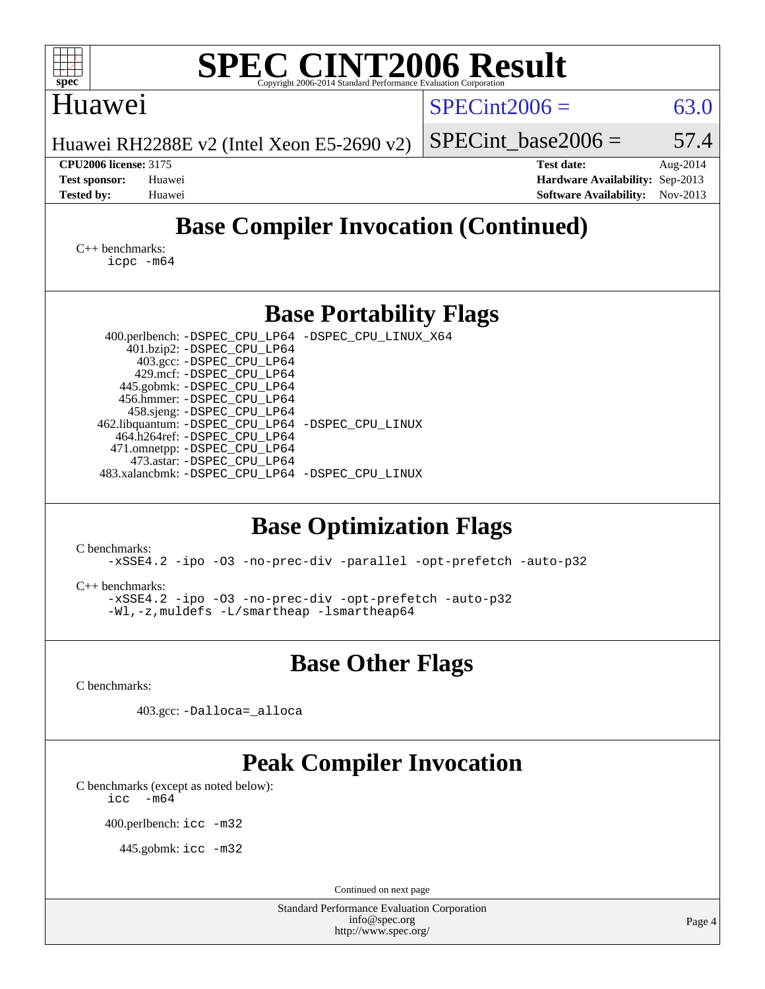| <b>SPEC CINT2006 Result</b><br>$spec^*$<br>Copyright 2006-2014 Standard Performance Evalu                                                                                                                                                                                                                                                                                                                                                  |                                                                                                               |  |  |  |  |  |  |  |  |
|--------------------------------------------------------------------------------------------------------------------------------------------------------------------------------------------------------------------------------------------------------------------------------------------------------------------------------------------------------------------------------------------------------------------------------------------|---------------------------------------------------------------------------------------------------------------|--|--|--|--|--|--|--|--|
| Huawei                                                                                                                                                                                                                                                                                                                                                                                                                                     | $SPECint2006 =$<br>63.0                                                                                       |  |  |  |  |  |  |  |  |
| Huawei RH2288E v2 (Intel Xeon E5-2690 v2)                                                                                                                                                                                                                                                                                                                                                                                                  | $SPECint$ base2006 =<br>57.4                                                                                  |  |  |  |  |  |  |  |  |
| <b>CPU2006 license: 3175</b><br><b>Test sponsor:</b><br>Huawei<br><b>Tested by:</b><br>Huawei                                                                                                                                                                                                                                                                                                                                              | <b>Test date:</b><br>Aug-2014<br>Hardware Availability: Sep-2013<br>Nov-2013<br><b>Software Availability:</b> |  |  |  |  |  |  |  |  |
| <b>Base Compiler Invocation (Continued)</b>                                                                                                                                                                                                                                                                                                                                                                                                |                                                                                                               |  |  |  |  |  |  |  |  |
| $C_{++}$ benchmarks:<br>$icpc$ $-m64$                                                                                                                                                                                                                                                                                                                                                                                                      |                                                                                                               |  |  |  |  |  |  |  |  |
| <b>Base Portability Flags</b>                                                                                                                                                                                                                                                                                                                                                                                                              |                                                                                                               |  |  |  |  |  |  |  |  |
| 400.perlbench: -DSPEC_CPU_LP64 -DSPEC_CPU_LINUX_X64<br>401.bzip2: -DSPEC_CPU_LP64<br>403.gcc: -DSPEC_CPU_LP64<br>429.mcf: -DSPEC_CPU_LP64<br>445.gobmk: -DSPEC_CPU_LP64<br>456.hmmer: -DSPEC_CPU_LP64<br>458.sjeng: -DSPEC_CPU_LP64<br>462.libquantum: - DSPEC_CPU_LP64 - DSPEC_CPU_LINUX<br>464.h264ref: -DSPEC_CPU_LP64<br>471.omnetpp: -DSPEC_CPU_LP64<br>473.astar: -DSPEC CPU LP64<br>483.xalancbmk: -DSPEC_CPU_LP64 -DSPEC_CPU_LINUX |                                                                                                               |  |  |  |  |  |  |  |  |
| <b>Base Optimization Flags</b><br>C benchmarks:<br>-xSSE4.2 -ipo -03 -no-prec-div -parallel -opt-prefetch -auto-p32<br>$C++$ benchmarks:<br>-xSSE4.2 -ipo -03 -no-prec-div -opt-prefetch -auto-p32<br>-Wl,-z, muldefs -L/smartheap -lsmartheap64                                                                                                                                                                                           |                                                                                                               |  |  |  |  |  |  |  |  |
| <b>Base Other Flags</b>                                                                                                                                                                                                                                                                                                                                                                                                                    |                                                                                                               |  |  |  |  |  |  |  |  |
| C benchmarks:                                                                                                                                                                                                                                                                                                                                                                                                                              |                                                                                                               |  |  |  |  |  |  |  |  |
| 403.gcc: -Dalloca=_alloca                                                                                                                                                                                                                                                                                                                                                                                                                  |                                                                                                               |  |  |  |  |  |  |  |  |
| <b>Peak Compiler Invocation</b><br>C benchmarks (except as noted below):<br>$-m64$<br>icc<br>400.perlbench: icc -m32<br>445.gobmk: icc -m32                                                                                                                                                                                                                                                                                                |                                                                                                               |  |  |  |  |  |  |  |  |
| Continued on next page<br>Standard Performance Evaluation Corporation                                                                                                                                                                                                                                                                                                                                                                      |                                                                                                               |  |  |  |  |  |  |  |  |
| info@spec.org<br>http://www.spec.org/                                                                                                                                                                                                                                                                                                                                                                                                      | Page 4                                                                                                        |  |  |  |  |  |  |  |  |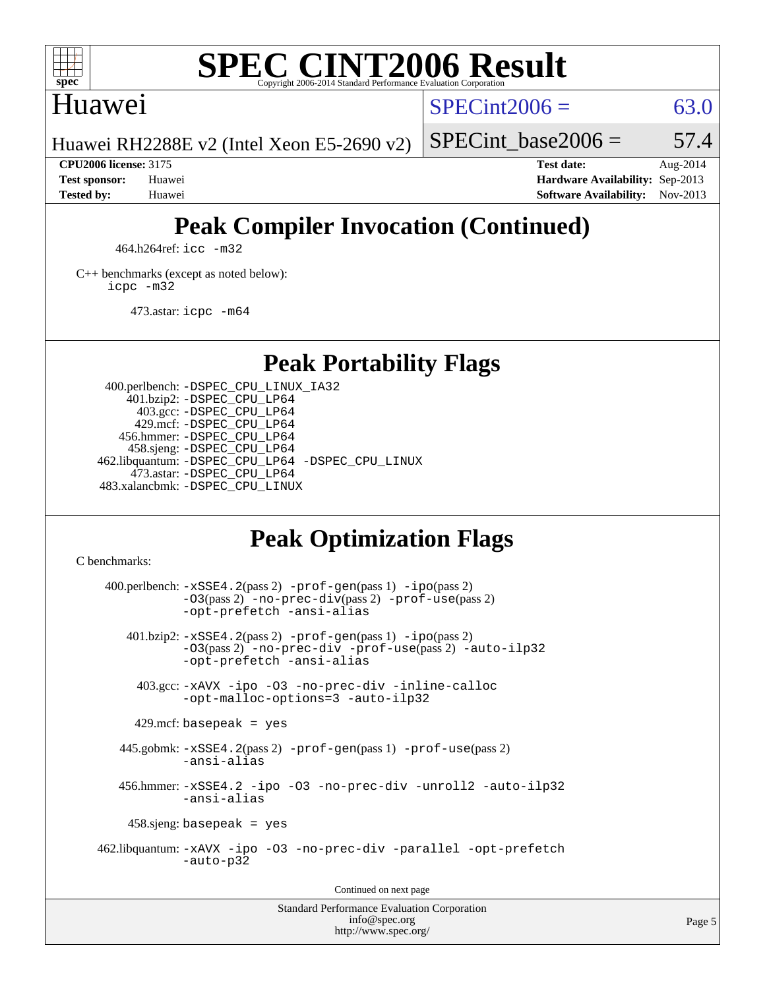

# **[SPEC CINT2006 Result](http://www.spec.org/auto/cpu2006/Docs/result-fields.html#SPECCINT2006Result)**

## Huawei

 $SPECint2006 = 63.0$  $SPECint2006 = 63.0$ 

Huawei RH2288E v2 (Intel Xeon E5-2690 v2)

SPECint base2006 =  $57.4$ 

**[CPU2006 license:](http://www.spec.org/auto/cpu2006/Docs/result-fields.html#CPU2006license)** 3175 **[Test date:](http://www.spec.org/auto/cpu2006/Docs/result-fields.html#Testdate)** Aug-2014 **[Test sponsor:](http://www.spec.org/auto/cpu2006/Docs/result-fields.html#Testsponsor)** Huawei **[Hardware Availability:](http://www.spec.org/auto/cpu2006/Docs/result-fields.html#HardwareAvailability)** Sep-2013 **[Tested by:](http://www.spec.org/auto/cpu2006/Docs/result-fields.html#Testedby)** Huawei **[Software Availability:](http://www.spec.org/auto/cpu2006/Docs/result-fields.html#SoftwareAvailability)** Nov-2013

# **[Peak Compiler Invocation \(Continued\)](http://www.spec.org/auto/cpu2006/Docs/result-fields.html#PeakCompilerInvocation)**

464.h264ref: [icc -m32](http://www.spec.org/cpu2006/results/res2014q3/cpu2006-20140826-31044.flags.html#user_peakCCLD464_h264ref_intel_icc_a6a621f8d50482236b970c6ac5f55f93)

[C++ benchmarks \(except as noted below\):](http://www.spec.org/auto/cpu2006/Docs/result-fields.html#CXXbenchmarksexceptasnotedbelow) [icpc -m32](http://www.spec.org/cpu2006/results/res2014q3/cpu2006-20140826-31044.flags.html#user_CXXpeak_intel_icpc_4e5a5ef1a53fd332b3c49e69c3330699)

473.astar: [icpc -m64](http://www.spec.org/cpu2006/results/res2014q3/cpu2006-20140826-31044.flags.html#user_peakCXXLD473_astar_intel_icpc_64bit_fc66a5337ce925472a5c54ad6a0de310)

# **[Peak Portability Flags](http://www.spec.org/auto/cpu2006/Docs/result-fields.html#PeakPortabilityFlags)**

 400.perlbench: [-DSPEC\\_CPU\\_LINUX\\_IA32](http://www.spec.org/cpu2006/results/res2014q3/cpu2006-20140826-31044.flags.html#b400.perlbench_peakCPORTABILITY_DSPEC_CPU_LINUX_IA32) 401.bzip2: [-DSPEC\\_CPU\\_LP64](http://www.spec.org/cpu2006/results/res2014q3/cpu2006-20140826-31044.flags.html#suite_peakPORTABILITY401_bzip2_DSPEC_CPU_LP64) 403.gcc: [-DSPEC\\_CPU\\_LP64](http://www.spec.org/cpu2006/results/res2014q3/cpu2006-20140826-31044.flags.html#suite_peakPORTABILITY403_gcc_DSPEC_CPU_LP64) 429.mcf: [-DSPEC\\_CPU\\_LP64](http://www.spec.org/cpu2006/results/res2014q3/cpu2006-20140826-31044.flags.html#suite_peakPORTABILITY429_mcf_DSPEC_CPU_LP64) 456.hmmer: [-DSPEC\\_CPU\\_LP64](http://www.spec.org/cpu2006/results/res2014q3/cpu2006-20140826-31044.flags.html#suite_peakPORTABILITY456_hmmer_DSPEC_CPU_LP64) 458.sjeng: [-DSPEC\\_CPU\\_LP64](http://www.spec.org/cpu2006/results/res2014q3/cpu2006-20140826-31044.flags.html#suite_peakPORTABILITY458_sjeng_DSPEC_CPU_LP64) 462.libquantum: [-DSPEC\\_CPU\\_LP64](http://www.spec.org/cpu2006/results/res2014q3/cpu2006-20140826-31044.flags.html#suite_peakPORTABILITY462_libquantum_DSPEC_CPU_LP64) [-DSPEC\\_CPU\\_LINUX](http://www.spec.org/cpu2006/results/res2014q3/cpu2006-20140826-31044.flags.html#b462.libquantum_peakCPORTABILITY_DSPEC_CPU_LINUX) 473.astar: [-DSPEC\\_CPU\\_LP64](http://www.spec.org/cpu2006/results/res2014q3/cpu2006-20140826-31044.flags.html#suite_peakPORTABILITY473_astar_DSPEC_CPU_LP64) 483.xalancbmk: [-DSPEC\\_CPU\\_LINUX](http://www.spec.org/cpu2006/results/res2014q3/cpu2006-20140826-31044.flags.html#b483.xalancbmk_peakCXXPORTABILITY_DSPEC_CPU_LINUX)

# **[Peak Optimization Flags](http://www.spec.org/auto/cpu2006/Docs/result-fields.html#PeakOptimizationFlags)**

[C benchmarks](http://www.spec.org/auto/cpu2006/Docs/result-fields.html#Cbenchmarks):

 $400.$ perlbench:  $-xSSE4$ .  $2(pass 2)$  -prof-qen(pass 1) [-ipo](http://www.spec.org/cpu2006/results/res2014q3/cpu2006-20140826-31044.flags.html#user_peakPASS2_CFLAGSPASS2_LDCFLAGS400_perlbench_f-ipo)(pass 2) [-O3](http://www.spec.org/cpu2006/results/res2014q3/cpu2006-20140826-31044.flags.html#user_peakPASS2_CFLAGSPASS2_LDCFLAGS400_perlbench_f-O3)(pass 2) [-no-prec-div](http://www.spec.org/cpu2006/results/res2014q3/cpu2006-20140826-31044.flags.html#user_peakPASS2_CFLAGSPASS2_LDCFLAGS400_perlbench_f-no-prec-div)(pass 2) [-prof-use](http://www.spec.org/cpu2006/results/res2014q3/cpu2006-20140826-31044.flags.html#user_peakPASS2_CFLAGSPASS2_LDCFLAGS400_perlbench_prof_use_bccf7792157ff70d64e32fe3e1250b55)(pass 2) [-opt-prefetch](http://www.spec.org/cpu2006/results/res2014q3/cpu2006-20140826-31044.flags.html#user_peakCOPTIMIZE400_perlbench_f-opt-prefetch) [-ansi-alias](http://www.spec.org/cpu2006/results/res2014q3/cpu2006-20140826-31044.flags.html#user_peakCOPTIMIZE400_perlbench_f-ansi-alias) 401.bzip2: [-xSSE4.2](http://www.spec.org/cpu2006/results/res2014q3/cpu2006-20140826-31044.flags.html#user_peakPASS2_CFLAGSPASS2_LDCFLAGS401_bzip2_f-xSSE42_f91528193cf0b216347adb8b939d4107)(pass 2) [-prof-gen](http://www.spec.org/cpu2006/results/res2014q3/cpu2006-20140826-31044.flags.html#user_peakPASS1_CFLAGSPASS1_LDCFLAGS401_bzip2_prof_gen_e43856698f6ca7b7e442dfd80e94a8fc)(pass 1) [-ipo](http://www.spec.org/cpu2006/results/res2014q3/cpu2006-20140826-31044.flags.html#user_peakPASS2_CFLAGSPASS2_LDCFLAGS401_bzip2_f-ipo)(pass 2) [-O3](http://www.spec.org/cpu2006/results/res2014q3/cpu2006-20140826-31044.flags.html#user_peakPASS2_CFLAGSPASS2_LDCFLAGS401_bzip2_f-O3)(pass 2) [-no-prec-div](http://www.spec.org/cpu2006/results/res2014q3/cpu2006-20140826-31044.flags.html#user_peakCOPTIMIZEPASS2_CFLAGSPASS2_LDCFLAGS401_bzip2_f-no-prec-div) [-prof-use](http://www.spec.org/cpu2006/results/res2014q3/cpu2006-20140826-31044.flags.html#user_peakPASS2_CFLAGSPASS2_LDCFLAGS401_bzip2_prof_use_bccf7792157ff70d64e32fe3e1250b55)(pass 2) [-auto-ilp32](http://www.spec.org/cpu2006/results/res2014q3/cpu2006-20140826-31044.flags.html#user_peakCOPTIMIZE401_bzip2_f-auto-ilp32) [-opt-prefetch](http://www.spec.org/cpu2006/results/res2014q3/cpu2006-20140826-31044.flags.html#user_peakCOPTIMIZE401_bzip2_f-opt-prefetch) [-ansi-alias](http://www.spec.org/cpu2006/results/res2014q3/cpu2006-20140826-31044.flags.html#user_peakCOPTIMIZE401_bzip2_f-ansi-alias) 403.gcc: [-xAVX](http://www.spec.org/cpu2006/results/res2014q3/cpu2006-20140826-31044.flags.html#user_peakCOPTIMIZE403_gcc_f-xAVX) [-ipo](http://www.spec.org/cpu2006/results/res2014q3/cpu2006-20140826-31044.flags.html#user_peakCOPTIMIZE403_gcc_f-ipo) [-O3](http://www.spec.org/cpu2006/results/res2014q3/cpu2006-20140826-31044.flags.html#user_peakCOPTIMIZE403_gcc_f-O3) [-no-prec-div](http://www.spec.org/cpu2006/results/res2014q3/cpu2006-20140826-31044.flags.html#user_peakCOPTIMIZE403_gcc_f-no-prec-div) [-inline-calloc](http://www.spec.org/cpu2006/results/res2014q3/cpu2006-20140826-31044.flags.html#user_peakCOPTIMIZE403_gcc_f-inline-calloc) [-opt-malloc-options=3](http://www.spec.org/cpu2006/results/res2014q3/cpu2006-20140826-31044.flags.html#user_peakCOPTIMIZE403_gcc_f-opt-malloc-options_13ab9b803cf986b4ee62f0a5998c2238) [-auto-ilp32](http://www.spec.org/cpu2006/results/res2014q3/cpu2006-20140826-31044.flags.html#user_peakCOPTIMIZE403_gcc_f-auto-ilp32)  $429$ .mcf: basepeak = yes 445.gobmk: [-xSSE4.2](http://www.spec.org/cpu2006/results/res2014q3/cpu2006-20140826-31044.flags.html#user_peakPASS2_CFLAGSPASS2_LDCFLAGS445_gobmk_f-xSSE42_f91528193cf0b216347adb8b939d4107)(pass 2) [-prof-gen](http://www.spec.org/cpu2006/results/res2014q3/cpu2006-20140826-31044.flags.html#user_peakPASS1_CFLAGSPASS1_LDCFLAGS445_gobmk_prof_gen_e43856698f6ca7b7e442dfd80e94a8fc)(pass 1) [-prof-use](http://www.spec.org/cpu2006/results/res2014q3/cpu2006-20140826-31044.flags.html#user_peakPASS2_CFLAGSPASS2_LDCFLAGS445_gobmk_prof_use_bccf7792157ff70d64e32fe3e1250b55)(pass 2) [-ansi-alias](http://www.spec.org/cpu2006/results/res2014q3/cpu2006-20140826-31044.flags.html#user_peakCOPTIMIZE445_gobmk_f-ansi-alias) 456.hmmer: [-xSSE4.2](http://www.spec.org/cpu2006/results/res2014q3/cpu2006-20140826-31044.flags.html#user_peakCOPTIMIZE456_hmmer_f-xSSE42_f91528193cf0b216347adb8b939d4107) [-ipo](http://www.spec.org/cpu2006/results/res2014q3/cpu2006-20140826-31044.flags.html#user_peakCOPTIMIZE456_hmmer_f-ipo) [-O3](http://www.spec.org/cpu2006/results/res2014q3/cpu2006-20140826-31044.flags.html#user_peakCOPTIMIZE456_hmmer_f-O3) [-no-prec-div](http://www.spec.org/cpu2006/results/res2014q3/cpu2006-20140826-31044.flags.html#user_peakCOPTIMIZE456_hmmer_f-no-prec-div) [-unroll2](http://www.spec.org/cpu2006/results/res2014q3/cpu2006-20140826-31044.flags.html#user_peakCOPTIMIZE456_hmmer_f-unroll_784dae83bebfb236979b41d2422d7ec2) [-auto-ilp32](http://www.spec.org/cpu2006/results/res2014q3/cpu2006-20140826-31044.flags.html#user_peakCOPTIMIZE456_hmmer_f-auto-ilp32) [-ansi-alias](http://www.spec.org/cpu2006/results/res2014q3/cpu2006-20140826-31044.flags.html#user_peakCOPTIMIZE456_hmmer_f-ansi-alias) 458.sjeng: basepeak = yes 462.libquantum: [-xAVX](http://www.spec.org/cpu2006/results/res2014q3/cpu2006-20140826-31044.flags.html#user_peakCOPTIMIZE462_libquantum_f-xAVX) [-ipo](http://www.spec.org/cpu2006/results/res2014q3/cpu2006-20140826-31044.flags.html#user_peakCOPTIMIZE462_libquantum_f-ipo) [-O3](http://www.spec.org/cpu2006/results/res2014q3/cpu2006-20140826-31044.flags.html#user_peakCOPTIMIZE462_libquantum_f-O3) [-no-prec-div](http://www.spec.org/cpu2006/results/res2014q3/cpu2006-20140826-31044.flags.html#user_peakCOPTIMIZE462_libquantum_f-no-prec-div) [-parallel](http://www.spec.org/cpu2006/results/res2014q3/cpu2006-20140826-31044.flags.html#user_peakCOPTIMIZE462_libquantum_f-parallel) [-opt-prefetch](http://www.spec.org/cpu2006/results/res2014q3/cpu2006-20140826-31044.flags.html#user_peakCOPTIMIZE462_libquantum_f-opt-prefetch) [-auto-p32](http://www.spec.org/cpu2006/results/res2014q3/cpu2006-20140826-31044.flags.html#user_peakCOPTIMIZE462_libquantum_f-auto-p32) Continued on next page

Standard Performance Evaluation Corporation [info@spec.org](mailto:info@spec.org) <http://www.spec.org/>